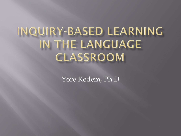# INQUIRY-BASED LEARNING IN THE LANGUAGE CLASSROOM

Yore Kedem, Ph.D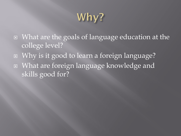## Why?

- What are the goals of language education at the college level?
- Why is it good to learn a foreign language? What are foreign language knowledge and skills good for?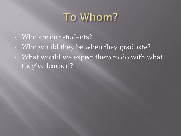## To Whom?

- **E** Who are our students?
- Who would they be when they graduate?
- What would we expect them to do with what they've learned?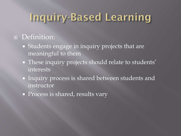## Inquiry-Based Learning

#### Definition:

- Students engage in inquiry projects that are meaningful to them
- **These inquiry projects should relate to students'** interests
- Inquiry process is shared between students and instructor
- **Process is shared, results vary**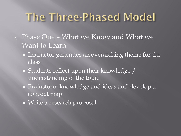## The Three-Phased Model

- Phase One What we Know and What we Want to Learn
	- **Instructor generates an overarching theme for the** class
	- Students reflect upon their knowledge / understanding of the topic
	- Brainstorm knowledge and ideas and develop a concept map
	- **Write a research proposal**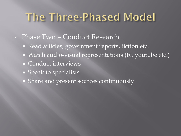## The Three-Phased Model

#### Phase Two – Conduct Research

- Read articles, government reports, fiction etc.
- Watch audio-visual representations (tv, youtube etc.)
- Conduct interviews
- **Speak to specialists**
- Share and present sources continuously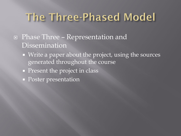## The Three-Phased Model

- Phase Three Representation and **Dissemination** 
	- Write a paper about the project, using the sources generated throughout the course
	- **Present the project in class**
	- Poster presentation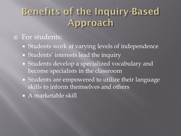#### Benefits of the Inquiry-Based Approach

#### **For students:**

- Students work at varying levels of independence
- Students' interests lead the inquiry
- Students develop a specialized vocabulary and become specialists in the classroom
- Students are empowered to utilize their language skills to inform themselves and others
- A marketable skill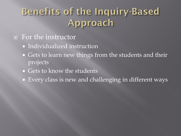#### Benefits of the Inquiry-Based Approach

- For the instructor
	- **Individualized instruction**
	- Gets to learn new things from the students and their projects
	- **Gets to know the students**
	- Every class is new and challenging in different ways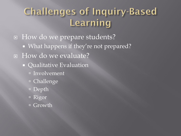#### **Challenges of Inquiry-Based** Learning

□ How do we prepare students? • What happens if they're not prepared? □ How do we evaluate? **Qualitative Evaluation**  Involvement Challenge Depth Rigor Growth